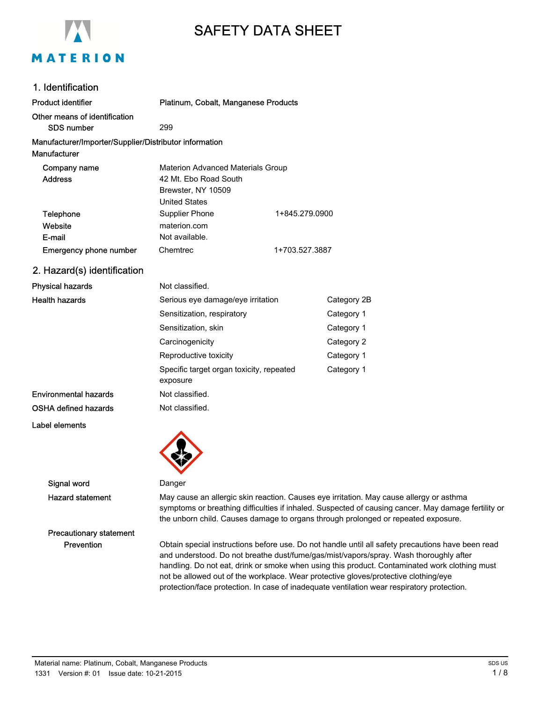

# SAFETY DATA SHEET

| 1. Identification                                                      |                                                                                                                 |                |
|------------------------------------------------------------------------|-----------------------------------------------------------------------------------------------------------------|----------------|
| Product identifier                                                     | Platinum, Cobalt, Manganese Products                                                                            |                |
| Other means of identification<br>SDS number                            | 299                                                                                                             |                |
| Manufacturer/Importer/Supplier/Distributor information<br>Manufacturer |                                                                                                                 |                |
| Company name<br><b>Address</b>                                         | <b>Materion Advanced Materials Group</b><br>42 Mt. Ebo Road South<br>Brewster, NY 10509<br><b>United States</b> |                |
| Telephone<br>Website<br>E-mail                                         | Supplier Phone<br>materion.com<br>Not available.                                                                | 1+845.279.0900 |
| <b>Emergency phone number</b>                                          | Chemtrec                                                                                                        | 1+703.527.3887 |
| 2. Hazard(s) identification                                            |                                                                                                                 |                |
| Dhveical hozarde                                                       | Not clossified                                                                                                  |                |

| <b>Physical hazards</b> | Not classified.                                      |             |
|-------------------------|------------------------------------------------------|-------------|
| <b>Health hazards</b>   | Serious eye damage/eye irritation                    | Category 2B |
|                         | Sensitization, respiratory                           | Category 1  |
|                         | Sensitization, skin                                  | Category 1  |
|                         | Carcinogenicity                                      | Category 2  |
|                         | Reproductive toxicity                                | Category 1  |
|                         | Specific target organ toxicity, repeated<br>exposure | Category 1  |
| Environmental hazards   | Not classified.                                      |             |
| OSHA defined hazards    | Not classified.                                      |             |
| Label elements          |                                                      |             |

Signal word Danger

Precautionary statement

Hazard statement May cause an allergic skin reaction. Causes eye irritation. May cause allergy or asthma symptoms or breathing difficulties if inhaled. Suspected of causing cancer. May damage fertility or the unborn child. Causes damage to organs through prolonged or repeated exposure.

Prevention Obtain special instructions before use. Do not handle until all safety precautions have been read and understood. Do not breathe dust/fume/gas/mist/vapors/spray. Wash thoroughly after handling. Do not eat, drink or smoke when using this product. Contaminated work clothing must not be allowed out of the workplace. Wear protective gloves/protective clothing/eye protection/face protection. In case of inadequate ventilation wear respiratory protection.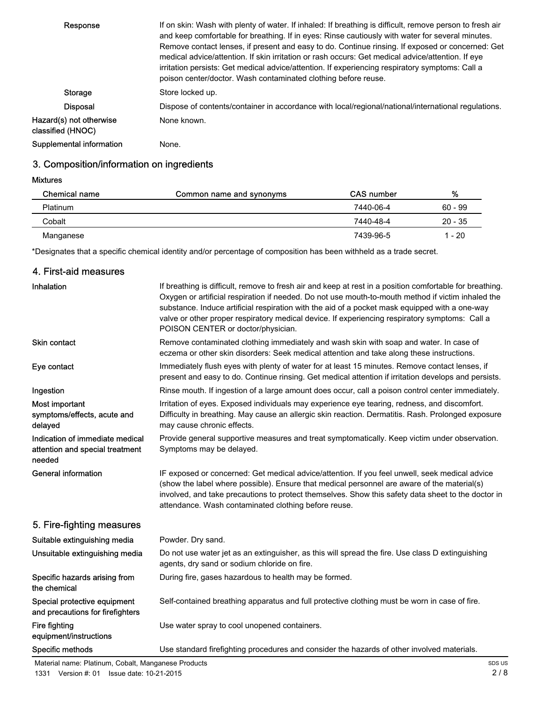| Response                                      | If on skin: Wash with plenty of water. If inhaled: If breathing is difficult, remove person to fresh air<br>and keep comfortable for breathing. If in eyes: Rinse cautiously with water for several minutes.<br>Remove contact lenses, if present and easy to do. Continue rinsing. If exposed or concerned: Get<br>medical advice/attention. If skin irritation or rash occurs: Get medical advice/attention. If eye<br>irritation persists: Get medical advice/attention. If experiencing respiratory symptoms: Call a<br>poison center/doctor. Wash contaminated clothing before reuse. |
|-----------------------------------------------|--------------------------------------------------------------------------------------------------------------------------------------------------------------------------------------------------------------------------------------------------------------------------------------------------------------------------------------------------------------------------------------------------------------------------------------------------------------------------------------------------------------------------------------------------------------------------------------------|
| Storage                                       | Store locked up.                                                                                                                                                                                                                                                                                                                                                                                                                                                                                                                                                                           |
| <b>Disposal</b>                               | Dispose of contents/container in accordance with local/regional/national/international regulations.                                                                                                                                                                                                                                                                                                                                                                                                                                                                                        |
| Hazard(s) not otherwise<br>classified (HNOC). | None known.                                                                                                                                                                                                                                                                                                                                                                                                                                                                                                                                                                                |
| Supplemental information                      | None.                                                                                                                                                                                                                                                                                                                                                                                                                                                                                                                                                                                      |

## 3. Composition/information on ingredients

Mixtures

| <b>Chemical name</b> | Common name and synonyms | <b>CAS</b> number | %         |
|----------------------|--------------------------|-------------------|-----------|
| <b>Platinum</b>      |                          | 7440-06-4         | $60 - 99$ |
| Cobalt               |                          | 7440-48-4         | $20 - 35$ |
| Manganese            |                          | 7439-96-5         | 1 - 20    |

\*Designates that a specific chemical identity and/or percentage of composition has been withheld as a trade secret.

## 4. First-aid measures

| Inhalation                                                                   | If breathing is difficult, remove to fresh air and keep at rest in a position comfortable for breathing.<br>Oxygen or artificial respiration if needed. Do not use mouth-to-mouth method if victim inhaled the<br>substance. Induce artificial respiration with the aid of a pocket mask equipped with a one-way<br>valve or other proper respiratory medical device. If experiencing respiratory symptoms: Call a<br>POISON CENTER or doctor/physician. |
|------------------------------------------------------------------------------|----------------------------------------------------------------------------------------------------------------------------------------------------------------------------------------------------------------------------------------------------------------------------------------------------------------------------------------------------------------------------------------------------------------------------------------------------------|
| <b>Skin contact</b>                                                          | Remove contaminated clothing immediately and wash skin with soap and water. In case of<br>eczema or other skin disorders: Seek medical attention and take along these instructions.                                                                                                                                                                                                                                                                      |
| Eye contact                                                                  | Immediately flush eyes with plenty of water for at least 15 minutes. Remove contact lenses, if<br>present and easy to do. Continue rinsing. Get medical attention if irritation develops and persists.                                                                                                                                                                                                                                                   |
| Ingestion                                                                    | Rinse mouth. If ingestion of a large amount does occur, call a poison control center immediately.                                                                                                                                                                                                                                                                                                                                                        |
| Most important<br>symptoms/effects, acute and<br>delayed                     | Irritation of eyes. Exposed individuals may experience eye tearing, redness, and discomfort.<br>Difficulty in breathing. May cause an allergic skin reaction. Dermatitis. Rash. Prolonged exposure<br>may cause chronic effects.                                                                                                                                                                                                                         |
| Indication of immediate medical<br>attention and special treatment<br>needed | Provide general supportive measures and treat symptomatically. Keep victim under observation.<br>Symptoms may be delayed.                                                                                                                                                                                                                                                                                                                                |
| <b>General information</b>                                                   | IF exposed or concerned: Get medical advice/attention. If you feel unwell, seek medical advice<br>(show the label where possible). Ensure that medical personnel are aware of the material(s)<br>involved, and take precautions to protect themselves. Show this safety data sheet to the doctor in<br>attendance. Wash contaminated clothing before reuse.                                                                                              |
| 5. Fire-fighting measures                                                    |                                                                                                                                                                                                                                                                                                                                                                                                                                                          |
| Suitable extinguishing media                                                 | Powder. Dry sand.                                                                                                                                                                                                                                                                                                                                                                                                                                        |
| Unsuitable extinguishing media                                               | Do not use water jet as an extinguisher, as this will spread the fire. Use class D extinguishing<br>agents, dry sand or sodium chloride on fire.                                                                                                                                                                                                                                                                                                         |
| Specific hazards arising from<br>the chemical                                | During fire, gases hazardous to health may be formed.                                                                                                                                                                                                                                                                                                                                                                                                    |
| Special protective equipment<br>and precautions for firefighters             | Self-contained breathing apparatus and full protective clothing must be worn in case of fire.                                                                                                                                                                                                                                                                                                                                                            |
| Fire fighting<br>equipment/instructions                                      | Use water spray to cool unopened containers.                                                                                                                                                                                                                                                                                                                                                                                                             |
| Specific methods                                                             | Use standard firefighting procedures and consider the hazards of other involved materials.                                                                                                                                                                                                                                                                                                                                                               |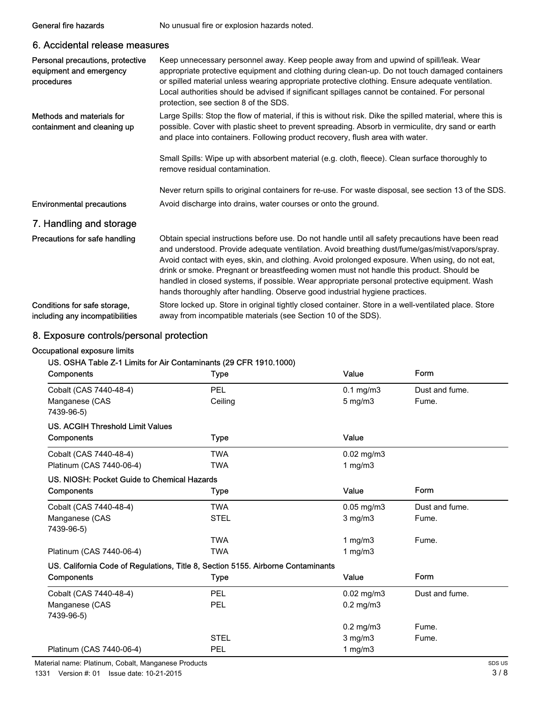| 6. Accidental release measures                                            |                                                                                                                                                                                                                                                                                                                                                                                                                                                                                                                                                                                 |
|---------------------------------------------------------------------------|---------------------------------------------------------------------------------------------------------------------------------------------------------------------------------------------------------------------------------------------------------------------------------------------------------------------------------------------------------------------------------------------------------------------------------------------------------------------------------------------------------------------------------------------------------------------------------|
| Personal precautions, protective<br>equipment and emergency<br>procedures | Keep unnecessary personnel away. Keep people away from and upwind of spill/leak. Wear<br>appropriate protective equipment and clothing during clean-up. Do not touch damaged containers<br>or spilled material unless wearing appropriate protective clothing. Ensure adequate ventilation.<br>Local authorities should be advised if significant spillages cannot be contained. For personal<br>protection, see section 8 of the SDS.                                                                                                                                          |
| Methods and materials for<br>containment and cleaning up                  | Large Spills: Stop the flow of material, if this is without risk. Dike the spilled material, where this is<br>possible. Cover with plastic sheet to prevent spreading. Absorb in vermiculite, dry sand or earth<br>and place into containers. Following product recovery, flush area with water.                                                                                                                                                                                                                                                                                |
|                                                                           | Small Spills: Wipe up with absorbent material (e.g. cloth, fleece). Clean surface thoroughly to<br>remove residual contamination.                                                                                                                                                                                                                                                                                                                                                                                                                                               |
|                                                                           | Never return spills to original containers for re-use. For waste disposal, see section 13 of the SDS.                                                                                                                                                                                                                                                                                                                                                                                                                                                                           |
| <b>Environmental precautions</b>                                          | Avoid discharge into drains, water courses or onto the ground.                                                                                                                                                                                                                                                                                                                                                                                                                                                                                                                  |
| 7. Handling and storage                                                   |                                                                                                                                                                                                                                                                                                                                                                                                                                                                                                                                                                                 |
| Precautions for safe handling                                             | Obtain special instructions before use. Do not handle until all safety precautions have been read<br>and understood. Provide adequate ventilation. Avoid breathing dust/fume/gas/mist/vapors/spray.<br>Avoid contact with eyes, skin, and clothing. Avoid prolonged exposure. When using, do not eat,<br>drink or smoke. Pregnant or breastfeeding women must not handle this product. Should be<br>handled in closed systems, if possible. Wear appropriate personal protective equipment. Wash<br>hands thoroughly after handling. Observe good industrial hygiene practices. |
| Conditions for safe storage,<br>including any incompatibilities           | Store locked up. Store in original tightly closed container. Store in a well-ventilated place. Store<br>away from incompatible materials (see Section 10 of the SDS).                                                                                                                                                                                                                                                                                                                                                                                                           |

## 8. Exposure controls/personal protection

#### Occupational exposure limits

## US. OSHA Table Z-1 Limits for Air Contaminants (29 CFR 1910.1000)

General fire hazards No unusual fire or explosion hazards noted.

| Components                                                                       | Type        | Value           | Form           |
|----------------------------------------------------------------------------------|-------------|-----------------|----------------|
| Cobalt (CAS 7440-48-4)                                                           | PEL         | $0.1$ mg/m $3$  | Dust and fume. |
| Manganese (CAS                                                                   | Ceiling     | $5$ mg/m $3$    | Fume.          |
| 7439-96-5)                                                                       |             |                 |                |
| <b>US. ACGIH Threshold Limit Values</b>                                          |             |                 |                |
| Components                                                                       | <b>Type</b> | Value           |                |
| Cobalt (CAS 7440-48-4)                                                           | <b>TWA</b>  | $0.02$ mg/m $3$ |                |
| Platinum (CAS 7440-06-4)                                                         | <b>TWA</b>  | 1 $mg/m3$       |                |
| US. NIOSH: Pocket Guide to Chemical Hazards                                      |             |                 |                |
| Components                                                                       | <b>Type</b> | Value           | Form           |
| Cobalt (CAS 7440-48-4)                                                           | <b>TWA</b>  | $0.05$ mg/m $3$ | Dust and fume. |
| Manganese (CAS                                                                   | <b>STEL</b> | $3$ mg/m $3$    | Fume.          |
| 7439-96-5)                                                                       |             |                 |                |
|                                                                                  | <b>TWA</b>  | 1 $mg/m3$       | Fume.          |
| Platinum (CAS 7440-06-4)                                                         | <b>TWA</b>  | 1 $mg/m3$       |                |
| US. California Code of Regulations, Title 8, Section 5155. Airborne Contaminants |             |                 |                |
| Components                                                                       | <b>Type</b> | Value           | Form           |
| Cobalt (CAS 7440-48-4)                                                           | PEL         | $0.02$ mg/m $3$ | Dust and fume. |
| Manganese (CAS                                                                   | PEL         | $0.2$ mg/m $3$  |                |
| 7439-96-5)                                                                       |             |                 |                |
|                                                                                  |             | $0.2$ mg/m $3$  | Fume.          |
|                                                                                  | <b>STEL</b> | $3$ mg/m $3$    | Fume.          |
| Platinum (CAS 7440-06-4)                                                         | <b>PEL</b>  | 1 $mg/m3$       |                |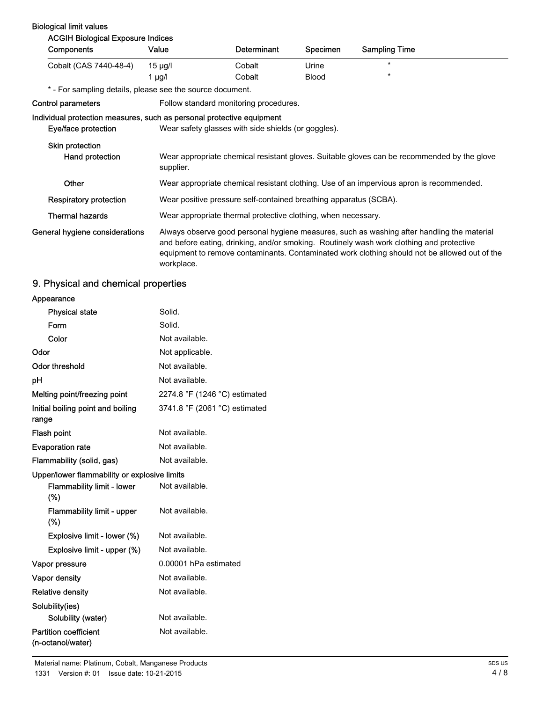#### Biological limit values

| <b>ACGIH Biological Exposure Indices</b>                                                     |                                                                                          |                    |              |                                                                                                                                                                                                                                                                                         |
|----------------------------------------------------------------------------------------------|------------------------------------------------------------------------------------------|--------------------|--------------|-----------------------------------------------------------------------------------------------------------------------------------------------------------------------------------------------------------------------------------------------------------------------------------------|
| Components                                                                                   | Value                                                                                    | <b>Determinant</b> | Specimen     | <b>Sampling Time</b>                                                                                                                                                                                                                                                                    |
| Cobalt (CAS 7440-48-4)                                                                       | $15 \mu g/l$                                                                             | Cobalt             | Urine        | $\star$                                                                                                                                                                                                                                                                                 |
|                                                                                              | 1 $\mu$ g/l                                                                              | Cobalt             | <b>Blood</b> | $^\star$                                                                                                                                                                                                                                                                                |
| * - For sampling details, please see the source document.                                    |                                                                                          |                    |              |                                                                                                                                                                                                                                                                                         |
| Control parameters                                                                           | Follow standard monitoring procedures.                                                   |                    |              |                                                                                                                                                                                                                                                                                         |
| Individual protection measures, such as personal protective equipment<br>Eye/face protection | Wear safety glasses with side shields (or goggles).                                      |                    |              |                                                                                                                                                                                                                                                                                         |
| <b>Skin protection</b>                                                                       |                                                                                          |                    |              |                                                                                                                                                                                                                                                                                         |
| Hand protection                                                                              | supplier.                                                                                |                    |              | Wear appropriate chemical resistant gloves. Suitable gloves can be recommended by the glove                                                                                                                                                                                             |
| Other                                                                                        | Wear appropriate chemical resistant clothing. Use of an impervious apron is recommended. |                    |              |                                                                                                                                                                                                                                                                                         |
| <b>Respiratory protection</b>                                                                | Wear positive pressure self-contained breathing apparatus (SCBA).                        |                    |              |                                                                                                                                                                                                                                                                                         |
| <b>Thermal hazards</b>                                                                       | Wear appropriate thermal protective clothing, when necessary.                            |                    |              |                                                                                                                                                                                                                                                                                         |
| General hygiene considerations                                                               | workplace.                                                                               |                    |              | Always observe good personal hygiene measures, such as washing after handling the material<br>and before eating, drinking, and/or smoking. Routinely wash work clothing and protective<br>equipment to remove contaminants. Contaminated work clothing should not be allowed out of the |

## 9. Physical and chemical properties

| Appearance |  |
|------------|--|
|            |  |

| <b>Physical state</b>                             | Solid.                        |
|---------------------------------------------------|-------------------------------|
| Form                                              | Solid.                        |
| Color                                             | Not available.                |
| Odor                                              | Not applicable.               |
| Odor threshold                                    | Not available.                |
| рH                                                | Not available.                |
| Melting point/freezing point                      | 2274.8 °F (1246 °C) estimated |
| Initial boiling point and boiling<br>range        | 3741.8 °F (2061 °C) estimated |
| Flash point                                       | Not available.                |
| <b>Evaporation rate</b>                           | Not available.                |
| Flammability (solid, gas)                         | Not available.                |
| Upper/lower flammability or explosive limits      |                               |
| <b>Flammability limit - lower</b><br>$(\%)$       | Not available.                |
| <b>Flammability limit - upper</b><br>$(\%)$       | Not available.                |
| Explosive limit - lower (%)                       | Not available.                |
| Explosive limit - upper (%)                       | Not available.                |
| Vapor pressure                                    | 0.00001 hPa estimated         |
| Vapor density                                     | Not available.                |
| <b>Relative density</b>                           | Not available.                |
| Solubility(ies)                                   |                               |
| Solubility (water)                                | Not available.                |
| <b>Partition coefficient</b><br>(n-octanol/water) | Not available.                |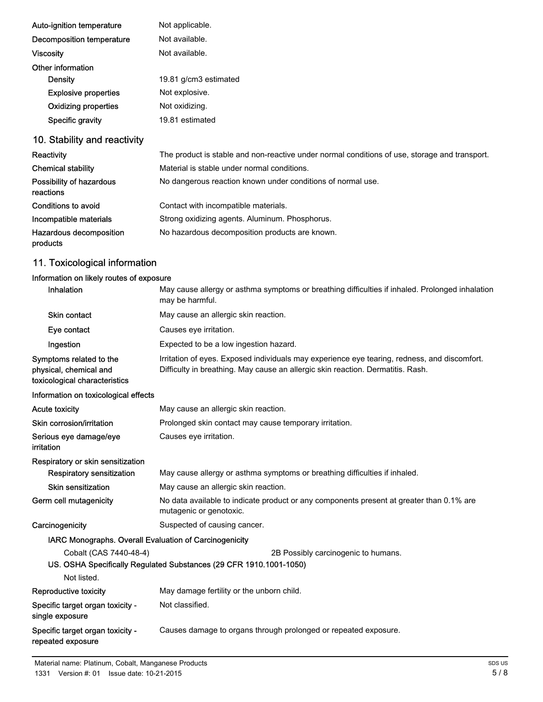| Auto-ignition temperature   | Not applicable.       |
|-----------------------------|-----------------------|
| Decomposition temperature   | Not available.        |
| Viscosity                   | Not available.        |
| Other information           |                       |
| Density                     | 19.81 g/cm3 estimated |
| <b>Explosive properties</b> | Not explosive.        |
| <b>Oxidizing properties</b> | Not oxidizing.        |
| Specific gravity            | 19.81 estimated       |

## 10. Stability and reactivity

| Reactivity                            | The product is stable and non-reactive under normal conditions of use, storage and transport. |
|---------------------------------------|-----------------------------------------------------------------------------------------------|
| <b>Chemical stability</b>             | Material is stable under normal conditions.                                                   |
| Possibility of hazardous<br>reactions | No dangerous reaction known under conditions of normal use.                                   |
| Conditions to avoid                   | Contact with incompatible materials.                                                          |
| Incompatible materials                | Strong oxidizing agents. Aluminum. Phosphorus.                                                |
| Hazardous decomposition<br>products   | No hazardous decomposition products are known.                                                |

## 11. Toxicological information

#### Information on likely routes of exposure

| Inhalation                                                                         | May cause allergy or asthma symptoms or breathing difficulties if inhaled. Prolonged inhalation<br>may be harmful.                                                              |  |
|------------------------------------------------------------------------------------|---------------------------------------------------------------------------------------------------------------------------------------------------------------------------------|--|
| <b>Skin contact</b>                                                                | May cause an allergic skin reaction.                                                                                                                                            |  |
| Eye contact                                                                        | Causes eye irritation.                                                                                                                                                          |  |
| Ingestion                                                                          | Expected to be a low ingestion hazard.                                                                                                                                          |  |
| Symptoms related to the<br>physical, chemical and<br>toxicological characteristics | Irritation of eyes. Exposed individuals may experience eye tearing, redness, and discomfort.<br>Difficulty in breathing. May cause an allergic skin reaction. Dermatitis. Rash. |  |
| Information on toxicological effects                                               |                                                                                                                                                                                 |  |
| <b>Acute toxicity</b>                                                              | May cause an allergic skin reaction.                                                                                                                                            |  |
| Skin corrosion/irritation                                                          | Prolonged skin contact may cause temporary irritation.                                                                                                                          |  |
| Serious eye damage/eye<br>irritation                                               | Causes eye irritation.                                                                                                                                                          |  |
| Respiratory or skin sensitization                                                  |                                                                                                                                                                                 |  |
| Respiratory sensitization                                                          | May cause allergy or asthma symptoms or breathing difficulties if inhaled.                                                                                                      |  |
| Skin sensitization                                                                 | May cause an allergic skin reaction.                                                                                                                                            |  |
| Germ cell mutagenicity                                                             | No data available to indicate product or any components present at greater than 0.1% are<br>mutagenic or genotoxic.                                                             |  |
| Carcinogenicity                                                                    | Suspected of causing cancer.                                                                                                                                                    |  |
| IARC Monographs. Overall Evaluation of Carcinogenicity                             |                                                                                                                                                                                 |  |
| Cobalt (CAS 7440-48-4)                                                             | 2B Possibly carcinogenic to humans.<br>US. OSHA Specifically Regulated Substances (29 CFR 1910.1001-1050)                                                                       |  |
| Not listed.                                                                        |                                                                                                                                                                                 |  |
| Reproductive toxicity                                                              | May damage fertility or the unborn child.                                                                                                                                       |  |
| Specific target organ toxicity -<br>single exposure                                | Not classified.                                                                                                                                                                 |  |
| Specific target organ toxicity -<br>repeated exposure                              | Causes damage to organs through prolonged or repeated exposure.                                                                                                                 |  |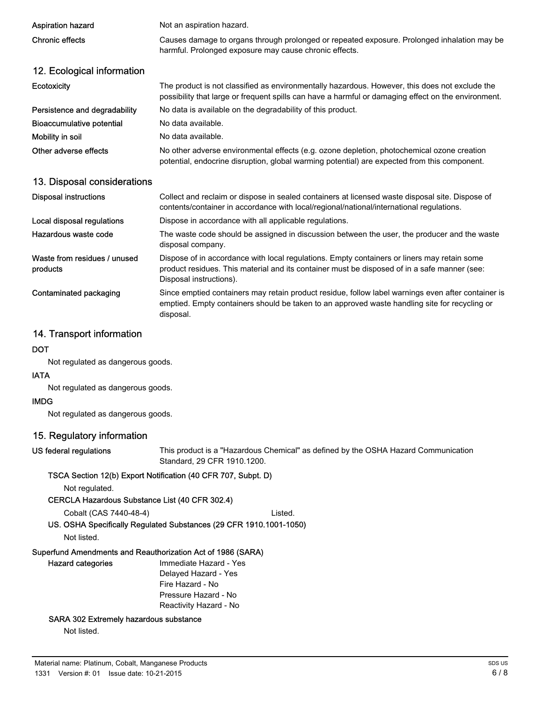| <b>Aspiration hazard</b>      |                                                                                                                                                                                                       |  |  |
|-------------------------------|-------------------------------------------------------------------------------------------------------------------------------------------------------------------------------------------------------|--|--|
|                               | Not an aspiration hazard.                                                                                                                                                                             |  |  |
| <b>Chronic effects</b>        | Causes damage to organs through prolonged or repeated exposure. Prolonged inhalation may be<br>harmful. Prolonged exposure may cause chronic effects.                                                 |  |  |
| 12. Ecological information    |                                                                                                                                                                                                       |  |  |
| <b>Ecotoxicity</b>            | The product is not classified as environmentally hazardous. However, this does not exclude the<br>possibility that large or frequent spills can have a harmful or damaging effect on the environment. |  |  |
| Persistence and degradability | No data is available on the degradability of this product.                                                                                                                                            |  |  |
| Bioaccumulative potential     | No data available.                                                                                                                                                                                    |  |  |
| Mobility in soil              | No data available.                                                                                                                                                                                    |  |  |
| Other adverse effects         | No other adverse environmental effects (e.g. ozone depletion, photochemical ozone creation<br>potential, endocrine disruption, global warming potential) are expected from this component.            |  |  |

#### 13. Disposal considerations

| <b>Disposal instructions</b>             | Collect and reclaim or dispose in sealed containers at licensed waste disposal site. Dispose of<br>contents/container in accordance with local/regional/national/international regulations.                            |
|------------------------------------------|------------------------------------------------------------------------------------------------------------------------------------------------------------------------------------------------------------------------|
| Local disposal regulations               | Dispose in accordance with all applicable regulations.                                                                                                                                                                 |
| Hazardous waste code                     | The waste code should be assigned in discussion between the user, the producer and the waste<br>disposal company.                                                                                                      |
| Waste from residues / unused<br>products | Dispose of in accordance with local regulations. Empty containers or liners may retain some<br>product residues. This material and its container must be disposed of in a safe manner (see:<br>Disposal instructions). |
| Contaminated packaging                   | Since emptied containers may retain product residue, follow label warnings even after container is<br>emptied. Empty containers should be taken to an approved waste handling site for recycling or<br>disposal.       |

#### 14. Transport information

#### **DOT**

Not regulated as dangerous goods.

#### IATA

Not regulated as dangerous goods.

#### IMDG

Not regulated as dangerous goods.

#### 15. Regulatory information

#### US federal regulations

This product is a "Hazardous Chemical" as defined by the OSHA Hazard Communication Standard, 29 CFR 1910.1200.

#### TSCA Section 12(b) Export Notification (40 CFR 707, Subpt. D)

Not regulated.

CERCLA Hazardous Substance List (40 CFR 302.4)

Cobalt (CAS 7440-48-4) Listed.

#### US. OSHA Specifically Regulated Substances (29 CFR 1910.1001-1050)

Not listed.

### Superfund Amendments and Reauthorization Act of 1986 (SARA)

| <b>Hazard categories</b> | Immediate Hazard - Yes |
|--------------------------|------------------------|
|                          | Delayed Hazard - Yes   |
|                          | Fire Hazard - No       |
|                          | Pressure Hazard - No   |
|                          | Reactivity Hazard - No |
|                          |                        |

#### SARA 302 Extremely hazardous substance

Not listed.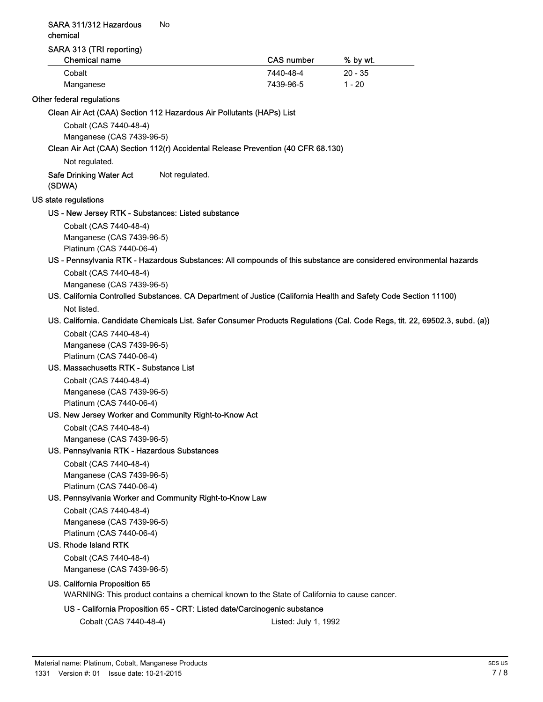#### SARA 311/312 Hazardous No chemical

#### SARA 313 (TRI reporting)

| <b>Chemical name</b> | <b>CAS number</b> | % by wt.  |  |
|----------------------|-------------------|-----------|--|
| Cobalt               | 7440-48-4         | $20 - 35$ |  |
| Manganese            | 7439-96-5         | $1 - 20$  |  |

#### Other federal regulations

Clean Air Act (CAA) Section 112 Hazardous Air Pollutants (HAPs) List

Cobalt (CAS 7440-48-4) Manganese (CAS 7439-96-5)

#### Clean Air Act (CAA) Section 112(r) Accidental Release Prevention (40 CFR 68.130)

Not regulated.

#### Safe Drinking Water Act Not regulated. (SDWA)

#### US state regulations

#### US - New Jersey RTK - Substances: Listed substance

Cobalt (CAS 7440-48-4) Manganese (CAS 7439-96-5) Platinum (CAS 7440-06-4)

## US - Pennsylvania RTK - Hazardous Substances: All compounds of this substance are considered environmental hazards

Cobalt (CAS 7440-48-4) Manganese (CAS 7439-96-5)

#### US. California Controlled Substances. CA Department of Justice (California Health and Safety Code Section 11100) Not listed.

#### US. California. Candidate Chemicals List. Safer Consumer Products Regulations (Cal. Code Regs, tit. 22, 69502.3, subd. (a))

Cobalt (CAS 7440-48-4) Manganese (CAS 7439-96-5) Platinum (CAS 7440-06-4)

#### US. Massachusetts RTK - Substance List

Cobalt (CAS 7440-48-4) Manganese (CAS 7439-96-5) Platinum (CAS 7440-06-4)

#### US. New Jersey Worker and Community Right-to-Know Act

Cobalt (CAS 7440-48-4) Manganese (CAS 7439-96-5)

#### US. Pennsylvania RTK - Hazardous Substances

Cobalt (CAS 7440-48-4) Manganese (CAS 7439-96-5) Platinum (CAS 7440-06-4)

#### US. Pennsylvania Worker and Community Right-to-Know Law

Cobalt (CAS 7440-48-4) Manganese (CAS 7439-96-5) Platinum (CAS 7440-06-4)

#### US. Rhode Island RTK

Cobalt (CAS 7440-48-4) Manganese (CAS 7439-96-5)

#### US. California Proposition 65

WARNING: This product contains a chemical known to the State of California to cause cancer.

#### US - California Proposition 65 - CRT: Listed date/Carcinogenic substance

Cobalt (CAS 7440-48-4) Listed: July 1, 1992